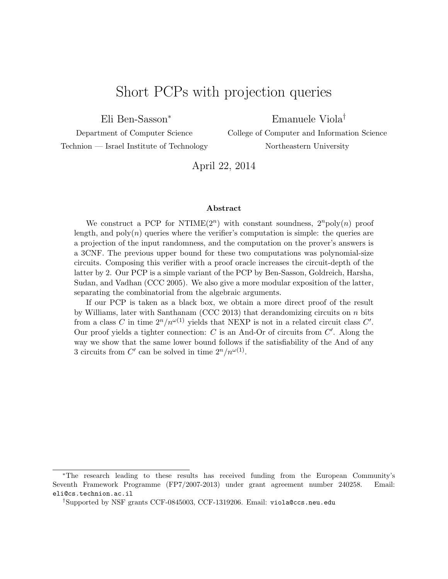# Short PCPs with projection queries

Eli Ben-Sasson<sup>∗</sup>

Emanuele Viola†

Department of Computer Science Technion — Israel Institute of Technology College of Computer and Information Science Northeastern University

April 22, 2014

#### Abstract

We construct a PCP for NTIME $(2^n)$  with constant soundness,  $2^n$ poly $(n)$  proof length, and  $poly(n)$  queries where the verifier's computation is simple: the queries are a projection of the input randomness, and the computation on the prover's answers is a 3CNF. The previous upper bound for these two computations was polynomial-size circuits. Composing this verifier with a proof oracle increases the circuit-depth of the latter by 2. Our PCP is a simple variant of the PCP by Ben-Sasson, Goldreich, Harsha, Sudan, and Vadhan (CCC 2005). We also give a more modular exposition of the latter, separating the combinatorial from the algebraic arguments.

If our PCP is taken as a black box, we obtain a more direct proof of the result by Williams, later with Santhanam (CCC 2013) that derandomizing circuits on  $n$  bits from a class C in time  $2^n/n^{\omega(1)}$  yields that NEXP is not in a related circuit class C'. Our proof yields a tighter connection:  $C$  is an And-Or of circuits from  $C'$ . Along the way we show that the same lower bound follows if the satisfiability of the And of any 3 circuits from C' can be solved in time  $2^n/n^{\omega(1)}$ .

<sup>∗</sup>The research leading to these results has received funding from the European Community's Seventh Framework Programme (FP7/2007-2013) under grant agreement number 240258. Email: eli@cs.technion.ac.il

<sup>†</sup>Supported by NSF grants CCF-0845003, CCF-1319206. Email: viola@ccs.neu.edu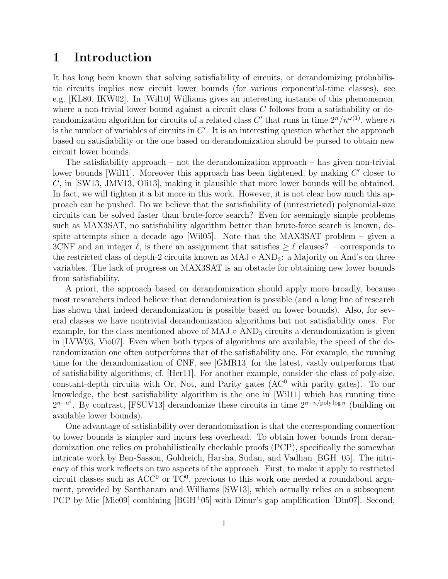# 1 Introduction

It has long been known that solving satisfiability of circuits, or derandomizing probabilistic circuits implies new circuit lower bounds (for various exponential-time classes), see e.g. [KL80, IKW02]. In [Wil10] Williams gives an interesting instance of this phenomenon, where a non-trivial lower bound against a circuit class  $C$  follows from a satisfiability or derandomization algorithm for circuits of a related class C' that runs in time  $2^n/n^{\omega(1)}$ , where n is the number of variables of circuits in  $C'$ . It is an interesting question whether the approach based on satisfiability or the one based on derandomization should be pursed to obtain new circuit lower bounds.

The satisfiability approach – not the derandomization approach – has given non-trivial lower bounds [Wil11]. Moreover this approach has been tightened, by making  $C'$  closer to C, in [SW13, JMV13, Oli13], making it plausible that more lower bounds will be obtained. In fact, we will tighten it a bit more in this work. However, it is not clear how much this approach can be pushed. Do we believe that the satisfiability of (unrestricted) polynomial-size circuits can be solved faster than brute-force search? Even for seemingly simple problems such as MAX3SAT, no satisfiability algorithm better than brute-force search is known, despite attempts since a decade ago [Wil05]. Note that the MAX3SAT problem – given a 3CNF and an integer  $\ell$ , is there an assignment that satisfies  $\geq \ell$  clauses? – corresponds to the restricted class of depth-2 circuits known as  $MAJ \circ AND_3$ : a Majority on And's on three variables. The lack of progress on MAX3SAT is an obstacle for obtaining new lower bounds from satisfiability.

A priori, the approach based on derandomization should apply more broadly, because most researchers indeed believe that derandomization is possible (and a long line of research has shown that indeed derandomization is possible based on lower bounds). Also, for several classes we have nontrivial derandomization algorithms but not satisfiability ones. For example, for the class mentioned above of MAJ  $\circ$  AND<sub>3</sub> circuits a derandomization is given in [LVW93, Vio07]. Even when both types of algorithms are available, the speed of the derandomization one often outperforms that of the satisfiability one. For example, the running time for the derandomization of CNF, see [GMR13] for the latest, vastly outperforms that of satisfiability algorithms, cf. [Her11]. For another example, consider the class of poly-size, constant-depth circuits with Or, Not, and Parity gates  $(AC<sup>0</sup>$  with parity gates). To our knowledge, the best satisfiability algorithm is the one in [Wil11] which has running time  $2^{n-n^{\epsilon}}$ . By contrast, [FSUV13] derandomize these circuits in time  $2^{n-n/\text{poly}\log n}$  (building on available lower bounds).

One advantage of satisfiability over derandomization is that the corresponding connection to lower bounds is simpler and incurs less overhead. To obtain lower bounds from derandomization one relies on probabilistically checkable proofs (PCP), specifically the somewhat intricate work by Ben-Sasson, Goldreich, Harsha, Sudan, and Vadhan [BGH<sup>+</sup>05]. The intricacy of this work reflects on two aspects of the approach. First, to make it apply to restricted circuit classes such as  $ACC^{0}$  or  $TC^{0}$ , previous to this work one needed a roundabout argument, provided by Santhanam and Williams [SW13], which actually relies on a subsequent PCP by Mie [Mie09] combining [BGH<sup>+</sup>05] with Dinur's gap amplification [Din07]. Second,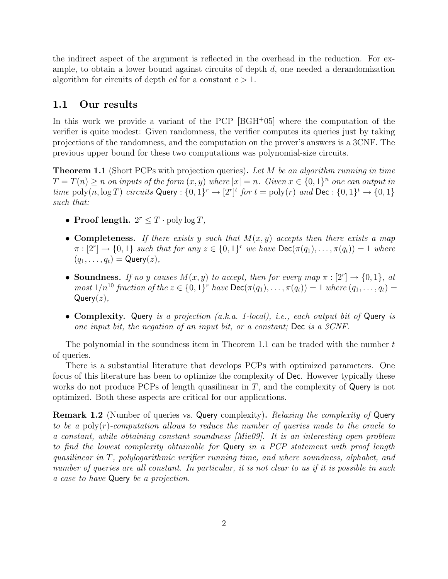the indirect aspect of the argument is reflected in the overhead in the reduction. For example, to obtain a lower bound against circuits of depth  $d$ , one needed a derandomization algorithm for circuits of depth cd for a constant  $c > 1$ .

#### 1.1 Our results

In this work we provide a variant of the PCP [BGH<sup>+</sup>05] where the computation of the verifier is quite modest: Given randomness, the verifier computes its queries just by taking projections of the randomness, and the computation on the prover's answers is a 3CNF. The previous upper bound for these two computations was polynomial-size circuits.

**Theorem 1.1** (Short PCPs with projection queries). Let M be an algorithm running in time  $T = T(n) \geq n$  on inputs of the form  $(x, y)$  where  $|x| = n$ . Given  $x \in \{0, 1\}^n$  one can output in time  $\text{poly}(n, \log T)$  circuits Query :  $\{0, 1\}^r \to [2^r]^t$  for  $t = \text{poly}(r)$  and  $\text{Dec} : \{0, 1\}^t \to \{0, 1\}$ such that:

- Proof length.  $2^r \leq T \cdot \text{poly}\log T$ ,
- Completeness. If there exists y such that  $M(x, y)$  accepts then there exists a map  $\pi : [2^r] \to \{0, 1\}$  such that for any  $z \in \{0, 1\}^r$  we have  $\text{Dec}(\pi(q_1), \ldots, \pi(q_t)) = 1$  where  $(q_1, \ldots, q_t) = \mathsf{Query}(z),$
- Soundness. If no y causes  $M(x, y)$  to accept, then for every map  $\pi : [2^r] \to \{0, 1\}$ , at  $most\ 1/n^{10}$  fraction of the  $z \in \{0,1\}^r$  have  $\mathsf{Dec}(\pi(q_1),\ldots,\pi(q_t))=1$  where  $(q_1,\ldots,q_t)=1$  $Query(z)$ ,
- Complexity. Query is a projection (a.k.a. 1-local), i.e., each output bit of Query is one input bit, the negation of an input bit, or a constant; Dec is a 3CNF.

The polynomial in the soundness item in Theorem 1.1 can be traded with the number  $t$ of queries.

There is a substantial literature that develops PCPs with optimized parameters. One focus of this literature has been to optimize the complexity of Dec. However typically these works do not produce PCPs of length quasilinear in  $T$ , and the complexity of Query is not optimized. Both these aspects are critical for our applications.

Remark 1.2 (Number of queries vs. Query complexity). Relaxing the complexity of Query to be a poly $(r)$ -computation allows to reduce the number of queries made to the oracle to a constant, while obtaining constant soundness [Mie09]. It is an interesting open problem to find the lowest complexity obtainable for Query in a PCP statement with proof length quasilinear in T, polylogarithmic verifier running time, and where soundness, alphabet, and number of queries are all constant. In particular, it is not clear to us if it is possible in such a case to have Query be a projection.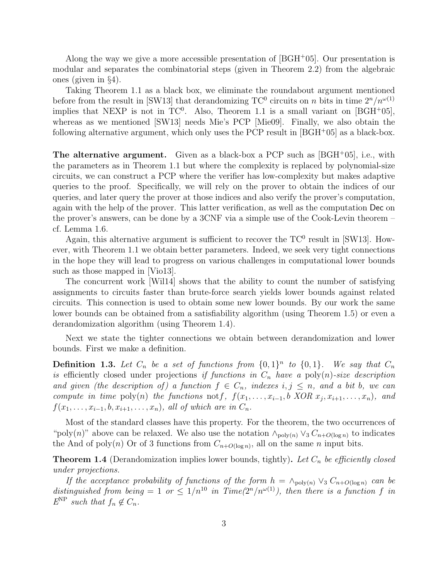Along the way we give a more accessible presentation of  $[BGH<sup>+</sup>05]$ . Our presentation is modular and separates the combinatorial steps (given in Theorem 2.2) from the algebraic ones (given in §4).

Taking Theorem 1.1 as a black box, we eliminate the roundabout argument mentioned before from the result in [SW13] that derandomizing TC<sup>0</sup> circuits on n bits in time  $2^n/n^{\omega(1)}$ implies that NEXP is not in  $TC^0$ . Also, Theorem 1.1 is a small variant on  $[BGH<sup>+</sup>05]$ , whereas as we mentioned [SW13] needs Mie's PCP [Mie09]. Finally, we also obtain the following alternative argument, which only uses the PCP result in [BGH<sup>+</sup>05] as a black-box.

**The alternative argument.** Given as a black-box a PCP such as  $|BGH^+05|$ , i.e., with the parameters as in Theorem 1.1 but where the complexity is replaced by polynomial-size circuits, we can construct a PCP where the verifier has low-complexity but makes adaptive queries to the proof. Specifically, we will rely on the prover to obtain the indices of our queries, and later query the prover at those indices and also verify the prover's computation, again with the help of the prover. This latter verification, as well as the computation Dec on the prover's answers, can be done by a 3CNF via a simple use of the Cook-Levin theorem – cf. Lemma 1.6.

Again, this alternative argument is sufficient to recover the  $TC^0$  result in [SW13]. However, with Theorem 1.1 we obtain better parameters. Indeed, we seek very tight connections in the hope they will lead to progress on various challenges in computational lower bounds such as those mapped in [Vio13].

The concurrent work [Wil14] shows that the ability to count the number of satisfying assignments to circuits faster than brute-force search yields lower bounds against related circuits. This connection is used to obtain some new lower bounds. By our work the same lower bounds can be obtained from a satisfiability algorithm (using Theorem 1.5) or even a derandomization algorithm (using Theorem 1.4).

Next we state the tighter connections we obtain between derandomization and lower bounds. First we make a definition.

**Definition 1.3.** Let  $C_n$  be a set of functions from  $\{0,1\}^n$  to  $\{0,1\}$ . We say that  $C_n$ is efficiently closed under projections if functions in  $C_n$  have a poly $(n)$ -size description and given (the description of) a function  $f \in C_n$ , indexes  $i, j \leq n$ , and a bit b, we can compute in time poly(n) the functions not f,  $f(x_1, \ldots, x_{i-1}, b \; XOR \; x_j, x_{i+1}, \ldots, x_n)$ , and  $f(x_1, \ldots, x_{i-1}, b, x_{i+1}, \ldots, x_n)$ , all of which are in  $C_n$ .

Most of the standard classes have this property. For the theorem, the two occurrences of "poly(n)" above can be relaxed. We also use the notation  $\wedge_{\text{poly}(n)} \vee_3 C_{n+O(\log n)}$  to indicates the And of poly(n) Or of 3 functions from  $C_{n+O(\log n)}$ , all on the same n input bits.

**Theorem 1.4** (Derandomization implies lower bounds, tightly). Let  $C_n$  be efficiently closed under projections.

If the acceptance probability of functions of the form  $h = \wedge_{\text{poly}(n)} \vee_3 C_{n+O(\log n)}$  can be distinguished from being = 1 or  $\leq 1/n^{10}$  in Time( $2^n/n^{\omega(1)}$ ), then there is a function f in  $E^{\rm NP}$  such that  $f_n \notin C_n$ .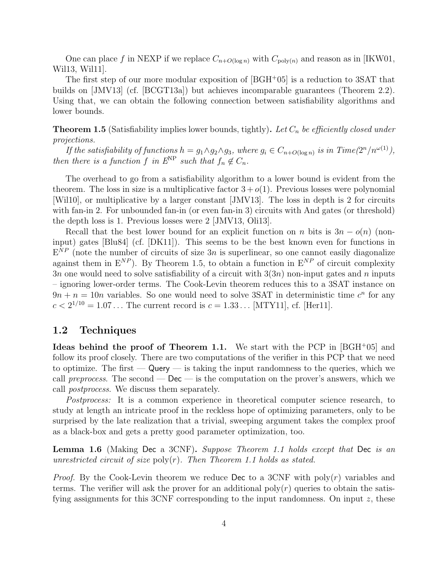One can place f in NEXP if we replace  $C_{n+O(\log n)}$  with  $C_{\text{poly}(n)}$  and reason as in [IKW01, Wil13, Wil11].

The first step of our more modular exposition of [BGH<sup>+</sup>05] is a reduction to 3SAT that builds on [JMV13] (cf. [BCGT13a]) but achieves incomparable guarantees (Theorem 2.2). Using that, we can obtain the following connection between satisfiability algorithms and lower bounds.

**Theorem 1.5** (Satisfiability implies lower bounds, tightly). Let  $C_n$  be efficiently closed under projections.

If the satisfiability of functions  $h = g_1 \wedge g_2 \wedge g_3$ , where  $g_i \in C_{n+O(\log n)}$  is in  $Time(2^n/n^{\omega(1)})$ , then there is a function f in  $E^{NP}$  such that  $f_n \notin C_n$ .

The overhead to go from a satisfiability algorithm to a lower bound is evident from the theorem. The loss in size is a multiplicative factor  $3 + o(1)$ . Previous losses were polynomial [Wil10], or multiplicative by a larger constant [JMV13]. The loss in depth is 2 for circuits with fan-in 2. For unbounded fan-in (or even fan-in 3) circuits with And gates (or threshold) the depth loss is 1. Previous losses were 2 [JMV13, Oli13].

Recall that the best lower bound for an explicit function on n bits is  $3n - o(n)$  (noninput) gates [Blu84] (cf. [DK11]). This seems to be the best known even for functions in  $E^{NP}$  (note the number of circuits of size 3n is superlinear, so one cannot easily diagonalize against them in  $E^{NP}$ ). By Theorem 1.5, to obtain a function in  $E^{NP}$  of circuit complexity  $3n$  one would need to solve satisfiability of a circuit with  $3(3n)$  non-input gates and n inputs – ignoring lower-order terms. The Cook-Levin theorem reduces this to a 3SAT instance on  $9n + n = 10n$  variables. So one would need to solve 3SAT in deterministic time  $c<sup>n</sup>$  for any  $c < 2^{1/10} = 1.07...$  The current record is  $c = 1.33...$  [MTY11], cf. [Her11].

### 1.2 Techniques

Ideas behind the proof of Theorem 1.1. We start with the PCP in  $[{\rm BGH^+05}]$  and follow its proof closely. There are two computations of the verifier in this PCP that we need to optimize. The first  $\sim$  Query  $\sim$  is taking the input randomness to the queries, which we call preprocess. The second —  $\mathsf{Dec}$  — is the computation on the prover's answers, which we call postprocess. We discuss them separately.

Postprocess: It is a common experience in theoretical computer science research, to study at length an intricate proof in the reckless hope of optimizing parameters, only to be surprised by the late realization that a trivial, sweeping argument takes the complex proof as a black-box and gets a pretty good parameter optimization, too.

Lemma 1.6 (Making Dec a 3CNF). Suppose Theorem 1.1 holds except that Dec is an unrestricted circuit of size  $\text{poly}(r)$ . Then Theorem 1.1 holds as stated.

*Proof.* By the Cook-Levin theorem we reduce Dec to a 3CNF with  $poly(r)$  variables and terms. The verifier will ask the prover for an additional  $poly(r)$  queries to obtain the satisfying assignments for this 3CNF corresponding to the input randomness. On input  $z$ , these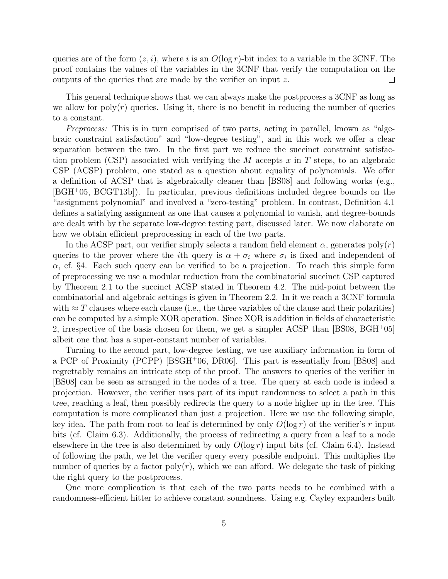queries are of the form  $(z, i)$ , where i is an  $O(\log r)$ -bit index to a variable in the 3CNF. The proof contains the values of the variables in the 3CNF that verify the computation on the outputs of the queries that are made by the verifier on input z.  $\Box$ 

This general technique shows that we can always make the postprocess a 3CNF as long as we allow for  $poly(r)$  queries. Using it, there is no benefit in reducing the number of queries to a constant.

Preprocess: This is in turn comprised of two parts, acting in parallel, known as "algebraic constraint satisfaction" and "low-degree testing", and in this work we offer a clear separation between the two. In the first part we reduce the succinct constraint satisfaction problem (CSP) associated with verifying the M accepts  $x$  in T steps, to an algebraic CSP (ACSP) problem, one stated as a question about equality of polynomials. We offer a definition of ACSP that is algebraically cleaner than [BS08] and following works (e.g., [BGH<sup>+</sup>05, BCGT13b]). In particular, previous definitions included degree bounds on the "assignment polynomial" and involved a "zero-testing" problem. In contrast, Definition 4.1 defines a satisfying assignment as one that causes a polynomial to vanish, and degree-bounds are dealt with by the separate low-degree testing part, discussed later. We now elaborate on how we obtain efficient preprocessing in each of the two parts.

In the ACSP part, our verifier simply selects a random field element  $\alpha$ , generates poly $(r)$ queries to the prover where the *i*th query is  $\alpha + \sigma_i$  where  $\sigma_i$  is fixed and independent of  $\alpha$ , cf. §4. Each such query can be verified to be a projection. To reach this simple form of preprocessing we use a modular reduction from the combinatorial succinct CSP captured by Theorem 2.1 to the succinct ACSP stated in Theorem 4.2. The mid-point between the combinatorial and algebraic settings is given in Theorem 2.2. In it we reach a 3CNF formula with  $\approx T$  clauses where each clause (i.e., the three variables of the clause and their polarities) can be computed by a simple XOR operation. Since XOR is addition in fields of characteristic 2, irrespective of the basis chosen for them, we get a simpler ACSP than [BS08, BGH<sup>+</sup>05] albeit one that has a super-constant number of variables.

Turning to the second part, low-degree testing, we use auxiliary information in form of a PCP of Proximity (PCPP) [BSGH<sup>+</sup>06, DR06]. This part is essentially from [BS08] and regrettably remains an intricate step of the proof. The answers to queries of the verifier in [BS08] can be seen as arranged in the nodes of a tree. The query at each node is indeed a projection. However, the verifier uses part of its input randomness to select a path in this tree, reaching a leaf, then possibly redirects the query to a node higher up in the tree. This computation is more complicated than just a projection. Here we use the following simple, key idea. The path from root to leaf is determined by only  $O(\log r)$  of the verifier's r input bits (cf. Claim 6.3). Additionally, the process of redirecting a query from a leaf to a node elsewhere in the tree is also determined by only  $O(\log r)$  input bits (cf. Claim 6.4). Instead of following the path, we let the verifier query every possible endpoint. This multiplies the number of queries by a factor  $poly(r)$ , which we can afford. We delegate the task of picking the right query to the postprocess.

One more complication is that each of the two parts needs to be combined with a randomness-efficient hitter to achieve constant soundness. Using e.g. Cayley expanders built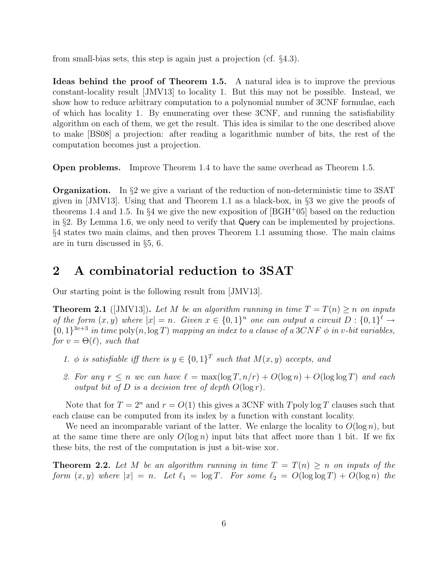from small-bias sets, this step is again just a projection (cf. §4.3).

Ideas behind the proof of Theorem 1.5. A natural idea is to improve the previous constant-locality result [JMV13] to locality 1. But this may not be possible. Instead, we show how to reduce arbitrary computation to a polynomial number of 3CNF formulae, each of which has locality 1. By enumerating over these 3CNF, and running the satisfiability algorithm on each of them, we get the result. This idea is similar to the one described above to make [BS08] a projection: after reading a logarithmic number of bits, the rest of the computation becomes just a projection.

Open problems. Improve Theorem 1.4 to have the same overhead as Theorem 1.5.

Organization. In §2 we give a variant of the reduction of non-deterministic time to 3SAT given in [JMV13]. Using that and Theorem 1.1 as a black-box, in §3 we give the proofs of theorems 1.4 and 1.5. In §4 we give the new exposition of  $|BGH<sup>+</sup>05|$  based on the reduction in §2. By Lemma 1.6, we only need to verify that Query can be implemented by projections. §4 states two main claims, and then proves Theorem 1.1 assuming those. The main claims are in turn discussed in §5, 6.

### 2 A combinatorial reduction to 3SAT

Our starting point is the following result from [JMV13].

**Theorem 2.1** ([JMV13]). Let M be an algorithm running in time  $T = T(n) \geq n$  on inputs of the form  $(x, y)$  where  $|x| = n$ . Given  $x \in \{0, 1\}^n$  one can output a circuit  $D : \{0, 1\}^{\ell} \to$  $\{0,1\}^{3v+3}$  in time poly $(n, \log T)$  mapping an index to a clause of a 3CNF  $\phi$  in v-bit variables, for  $v = \Theta(\ell)$ , such that

- 1.  $\phi$  is satisfiable iff there is  $y \in \{0,1\}^T$  such that  $M(x, y)$  accepts, and
- 2. For any  $r \leq n$  we can have  $\ell = \max(\log T, n/r) + O(\log n) + O(\log \log T)$  and each output bit of  $D$  is a decision tree of depth  $O(\log r)$ .

Note that for  $T = 2^n$  and  $r = O(1)$  this gives a 3CNF with Tpoly log T clauses such that each clause can be computed from its index by a function with constant locality.

We need an incomparable variant of the latter. We enlarge the locality to  $O(\log n)$ , but at the same time there are only  $O(\log n)$  input bits that affect more than 1 bit. If we fix these bits, the rest of the computation is just a bit-wise xor.

**Theorem 2.2.** Let M be an algorithm running in time  $T = T(n) \geq n$  on inputs of the form  $(x, y)$  where  $|x| = n$ . Let  $\ell_1 = \log T$ . For some  $\ell_2 = O(\log \log T) + O(\log n)$  the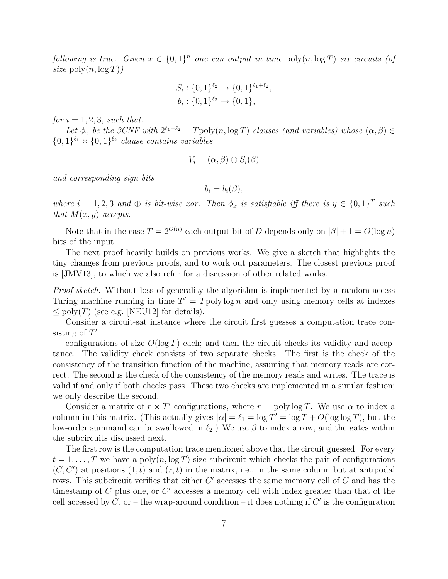following is true. Given  $x \in \{0,1\}^n$  one can output in time  $\text{poly}(n, \log T)$  six circuits (of size  $\text{poly}(n, \log T)$ )

$$
S_i: \{0,1\}^{\ell_2} \to \{0,1\}^{\ell_1+\ell_2},
$$
  

$$
b_i: \{0,1\}^{\ell_2} \to \{0,1\},
$$

for  $i = 1, 2, 3$ , such that:

Let  $\phi_x$  be the 3CNF with  $2^{\ell_1+\ell_2} = T$ poly $(n, \log T)$  clauses (and variables) whose  $(\alpha, \beta) \in$  $\{0,1\}^{\ell_1} \times \{0,1\}^{\ell_2}$  clause contains variables

$$
V_i = (\alpha, \beta) \oplus S_i(\beta)
$$

and corresponding sign bits

$$
b_i=b_i(\beta),
$$

where  $i = 1, 2, 3$  and  $\oplus$  is bit-wise xor. Then  $\phi_x$  is satisfiable iff there is  $y \in \{0, 1\}^T$  such that  $M(x, y)$  accepts.

Note that in the case  $T = 2^{O(n)}$  each output bit of D depends only on  $|\beta| + 1 = O(\log n)$ bits of the input.

The next proof heavily builds on previous works. We give a sketch that highlights the tiny changes from previous proofs, and to work out parameters. The closest previous proof is [JMV13], to which we also refer for a discussion of other related works.

Proof sketch. Without loss of generality the algorithm is implemented by a random-access Turing machine running in time  $T' = T$  poly log n and only using memory cells at indexes  $\langle \text{poly}(T) \rangle$  (see e.g. [NEU12] for details).

Consider a circuit-sat instance where the circuit first guesses a computation trace consisting of  $T'$ 

configurations of size  $O(\log T)$  each; and then the circuit checks its validity and acceptance. The validity check consists of two separate checks. The first is the check of the consistency of the transition function of the machine, assuming that memory reads are correct. The second is the check of the consistency of the memory reads and writes. The trace is valid if and only if both checks pass. These two checks are implemented in a similar fashion; we only describe the second.

Consider a matrix of  $r \times T'$  configurations, where  $r = \text{poly}\log T$ . We use  $\alpha$  to index a column in this matrix. (This actually gives  $|\alpha| = \ell_1 = \log T' = \log T + O(\log \log T)$ , but the low-order summand can be swallowed in  $\ell_2$ .) We use  $\beta$  to index a row, and the gates within the subcircuits discussed next.

The first row is the computation trace mentioned above that the circuit guessed. For every  $t = 1, \ldots, T$  we have a poly $(n, \log T)$ -size subcircuit which checks the pair of configurations  $(C, C')$  at positions  $(1, t)$  and  $(r, t)$  in the matrix, i.e., in the same column but at antipodal rows. This subcircuit verifies that either  $C'$  accesses the same memory cell of  $C$  and has the timestamp of  $C$  plus one, or  $C'$  accesses a memory cell with index greater than that of the cell accessed by  $C$ , or – the wrap-around condition – it does nothing if  $C'$  is the configuration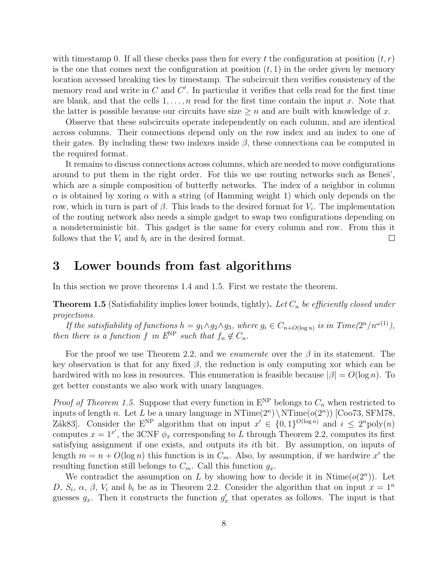with timestamp 0. If all these checks pass then for every t the configuration at position  $(t, r)$ is the one that comes next the configuration at position  $(t, 1)$  in the order given by memory location accessed breaking ties by timestamp. The subcircuit then verifies consistency of the memory read and write in  $C$  and  $C'$ . In particular it verifies that cells read for the first time are blank, and that the cells  $1, \ldots, n$  read for the first time contain the input x. Note that the latter is possible because our circuits have size  $\geq n$  and are built with knowledge of x.

Observe that these subcircuits operate independently on each column, and are identical across columns. Their connections depend only on the row index and an index to one of their gates. By including these two indexes inside  $\beta$ , these connections can be computed in the required format.

It remains to discuss connections across columns, which are needed to move configurations around to put them in the right order. For this we use routing networks such as Benes<sup>'</sup>, which are a simple composition of butterfly networks. The index of a neighbor in column  $\alpha$  is obtained by xoring  $\alpha$  with a string (of Hamming weight 1) which only depends on the row, which in turn is part of  $\beta$ . This leads to the desired format for  $V_i$ . The implementation of the routing network also needs a simple gadget to swap two configurations depending on a nondeterministic bit. This gadget is the same for every column and row. From this it follows that the  $V_i$  and  $b_i$  are in the desired format.  $\Box$ 

# 3 Lower bounds from fast algorithms

In this section we prove theorems 1.4 and 1.5. First we restate the theorem.

**Theorem 1.5** (Satisfiability implies lower bounds, tightly). Let  $C_n$  be efficiently closed under projections.

If the satisfiability of functions  $h = g_1 \wedge g_2 \wedge g_3$ , where  $g_i \in C_{n+O(\log n)}$  is in Time $(2^n/n^{\omega(1)})$ , then there is a function f in  $E^{\rm NP}$  such that  $f_n \notin C_n$ .

For the proof we use Theorem 2.2, and we *enumerate* over the  $\beta$  in its statement. The key observation is that for any fixed  $\beta$ , the reduction is only computing xor which can be hardwired with no loss in resources. This enumeration is feasible because  $|\beta| = O(\log n)$ . To get better constants we also work with unary languages.

*Proof of Theorem 1.5.* Suppose that every function in  $E^{NP}$  belongs to  $C_n$  when restricted to inputs of length n. Let L be a unary language in  $NTime(2<sup>n</sup>) \ NTime(o(2<sup>n</sup>))$  [Coo73, SFM78, Zák83]. Consider the E<sup>NP</sup> algorithm that on input  $x' \in \{0,1\}^{O(\log n)}$  and  $i \leq 2^n \text{poly}(n)$ computes  $x = 1^{x'}$ , the 3CNF  $\phi_x$  corresponding to L through Theorem 2.2, computes its first satisfying assignment if one exists, and outputs its ith bit. By assumption, on inputs of length  $m = n + O(\log n)$  this function is in  $C_m$ . Also, by assumption, if we hardwire x' the resulting function still belongs to  $C_m$ . Call this function  $g_x$ .

We contradict the assumption on L by showing how to decide it in Ntime $(o(2^n))$ . Let D,  $S_i$ ,  $\alpha$ ,  $\beta$ ,  $V_i$  and  $b_i$  be as in Theorem 2.2. Consider the algorithm that on input  $x = 1^n$ guesses  $g_x$ . Then it constructs the function  $g'_x$  that operates as follows. The input is that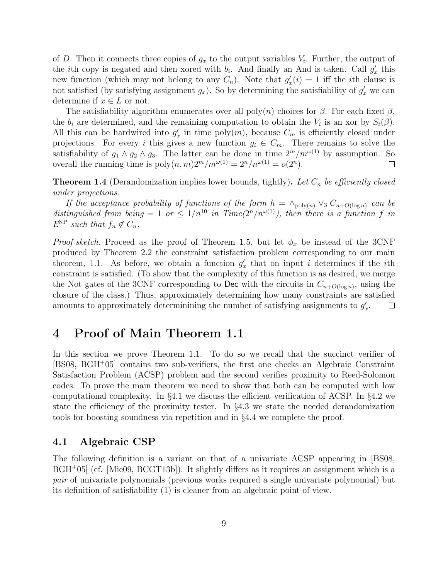of D. Then it connects three copies of  $g_x$  to the output variables  $V_i$ . Further, the output of the *i*th copy is negated and then xored with  $b_i$ . And finally an And is taken. Call  $g'_x$  this new function (which may not belong to any  $C_n$ ). Note that  $g'_x(i) = 1$  iff the *i*th clause is not satisfied (by satisfying assignment  $g_x$ ). So by determining the satisfiability of  $g'_x$  we can determine if  $x \in L$  or not.

The satisfiability algorithm enumerates over all  $\text{poly}(n)$  choices for  $\beta$ . For each fixed  $\beta$ , the  $b_i$  are determined, and the remaining computation to obtain the  $V_i$  is an xor by  $S_i(\beta)$ . All this can be hardwired into  $g'_x$  in time poly $(m)$ , because  $C_m$  is efficiently closed under projections. For every i this gives a new function  $g_i \in C_m$ . There remains to solve the satisfiability of  $g_1 \wedge g_2 \wedge g_3$ . The latter can be done in time  $2^m/m^{\omega(1)}$  by assumption. So overall the running time is  $\text{poly}(n,m)2^m/m^{\omega(1)} = 2^n/n^{\omega(1)} = o(2^n)$ .  $\Box$ 

**Theorem 1.4** (Derandomization implies lower bounds, tightly). Let  $C_n$  be efficiently closed under projections.

If the acceptance probability of functions of the form  $h = \wedge_{\text{poly}(n)} \vee_3 C_{n+O(\log n)}$  can be distinguished from being = 1 or  $\leq 1/n^{10}$  in Time( $2^n/n^{\omega(1)}$ ), then there is a function f in  $E^{\rm NP}$  such that  $f_n \notin C_n$ .

*Proof sketch.* Proceed as the proof of Theorem 1.5, but let  $\phi_x$  be instead of the 3CNF produced by Theorem 2.2 the constraint satisfaction problem corresponding to our main theorem, 1.1. As before, we obtain a function  $g'_x$  that on input i determines if the *i*th constraint is satisfied. (To show that the complexity of this function is as desired, we merge the Not gates of the 3CNF corresponding to Dec with the circuits in  $C_{n+O(\log n)}$ , using the closure of the class.) Thus, approximately determining how many constraints are satisfied amounts to approximately determinining the number of satisfying assignments to  $g'_x$ .  $\Box$ 

### 4 Proof of Main Theorem 1.1

In this section we prove Theorem 1.1. To do so we recall that the succinct verifier of [BS08, BGH<sup>+</sup>05] contains two sub-verifiers, the first one checks an Algebraic Constraint Satisfaction Problem (ACSP) problem and the second verifies proximity to Reed-Solomon codes. To prove the main theorem we need to show that both can be computed with low computational complexity. In §4.1 we discuss the efficient verification of ACSP. In §4.2 we state the efficiency of the proximity tester. In §4.3 we state the needed derandomization tools for boosting soundness via repetition and in §4.4 we complete the proof.

#### 4.1 Algebraic CSP

The following definition is a variant on that of a univariate ACSP appearing in [BS08, BGH<sup>+</sup>05] (cf. [Mie09, BCGT13b]). It slightly differs as it requires an assignment which is a pair of univariate polynomials (previous works required a single univariate polynomial) but its definition of satisfiability (1) is cleaner from an algebraic point of view.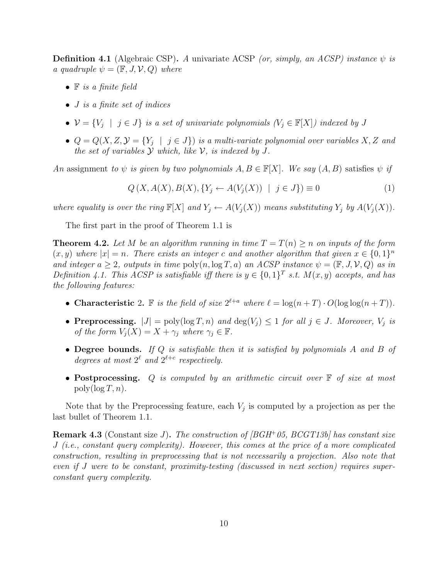**Definition 4.1** (Algebraic CSP). A univariate ACSP (or, simply, an ACSP) instance  $\psi$  is a quadruple  $\psi = (\mathbb{F}, J, V, Q)$  where

- $\bullet$  **F** is a finite field
- *J* is a finite set of indices
- $\mathcal{V} = \{V_j \mid j \in J\}$  is a set of univariate polynomials  $(V_j \in \mathbb{F}[X])$  indexed by J
- $Q = Q(X, Z, Y = \{Y_j \mid j \in J\})$  is a multi-variate polynomial over variables X, Z and the set of variables  $Y$  which, like  $V$ , is indexed by  $J$ .

An assignment to  $\psi$  is given by two polynomials  $A, B \in \mathbb{F}[X]$ . We say  $(A, B)$  satisfies  $\psi$  if

$$
Q(X, A(X), B(X), \{Y_j \leftarrow A(V_j(X)) \mid j \in J\}) \equiv 0
$$
\n(1)

where equality is over the ring  $\mathbb{F}[X]$  and  $Y_j \leftarrow A(V_j(X))$  means substituting  $Y_j$  by  $A(V_j(X))$ .

The first part in the proof of Theorem 1.1 is

**Theorem 4.2.** Let M be an algorithm running in time  $T = T(n) \geq n$  on inputs of the form  $(x, y)$  where  $|x| = n$ . There exists an integer c and another algorithm that given  $x \in \{0, 1\}^n$ and integer  $a \geq 2$ , outputs in time  $\text{poly}(n, \log T, a)$  an ACSP instance  $\psi = (\mathbb{F}, J, V, Q)$  as in Definition 4.1. This ACSP is satisfiable iff there is  $y \in \{0,1\}^T$  s.t.  $M(x, y)$  accepts, and has the following features:

- Characteristic 2. F is the field of size  $2^{\ell+a}$  where  $\ell = \log(n+T) \cdot O(\log \log(n+T))$ .
- Preprocessing.  $|J| = \text{poly}(\log T, n)$  and  $\deg(V_i) \leq 1$  for all  $j \in J$ . Moreover,  $V_j$  is of the form  $V_i(X) = X + \gamma_i$  where  $\gamma_i \in \mathbb{F}$ .
- Degree bounds. If  $Q$  is satisfiable then it is satisfied by polynomials  $A$  and  $B$  of degrees at most  $2^{\ell}$  and  $2^{\ell+c}$  respectively.
- Postprocessing. Q is computed by an arithmetic circuit over  $\mathbb F$  of size at most  $poly(\log T, n)$ .

Note that by the Preprocessing feature, each  $V_j$  is computed by a projection as per the last bullet of Theorem 1.1.

**Remark 4.3** (Constant size J). The construction of  $|BGH^+05$ ,  $BCGT13b|$  has constant size J (i.e., constant query complexity). However, this comes at the price of a more complicated construction, resulting in preprocessing that is not necessarily a projection. Also note that even if J were to be constant, proximity-testing (discussed in next section) requires superconstant query complexity.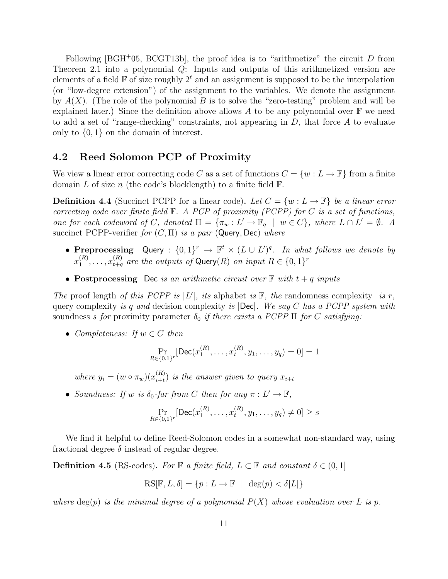Following [BGH<sup>+</sup>05, BCGT13b], the proof idea is to "arithmetize" the circuit  $D$  from Theorem 2.1 into a polynomial Q: Inputs and outputs of this arithmetized version are elements of a field  $\mathbb F$  of size roughly  $2^\ell$  and an assignment is supposed to be the interpolation (or "low-degree extension") of the assignment to the variables. We denote the assignment by  $A(X)$ . (The role of the polynomial B is to solve the "zero-testing" problem and will be explained later.) Since the definition above allows A to be any polynomial over  $\mathbb F$  we need to add a set of "range-checking" constraints, not appearing in  $D$ , that force  $A$  to evaluate only to {0, 1} on the domain of interest.

### 4.2 Reed Solomon PCP of Proximity

We view a linear error correcting code C as a set of functions  $C = \{w : L \to \mathbb{F}\}\$  from a finite domain L of size n (the code's blocklength) to a finite field  $\mathbb{F}$ .

**Definition 4.4** (Succinct PCPP for a linear code). Let  $C = \{w : L \to \mathbb{F}\}\$ be a linear error correcting code over finite field  $\mathbb{F}$ . A PCP of proximity (PCPP) for C is a set of functions, one for each codeword of C, denoted  $\Pi = {\pi_w : L' \to \mathbb{F}_q \mid w \in C}$ , where  $L \cap L' = \emptyset$ . A succinct PCPP-verifier for  $(C, \Pi)$  is a pair (Query, Dec) where

- Preprocessing Query :  $\{0,1\}^r \to \mathbb{F}^t \times (L \cup L')^q$ . In what follows we denote by  $x_1^{(R)}$  $\mathbf{I}_{1}^{(R)},\ldots,\mathbf{I}_{t+q}^{(R)}$  are the outputs of  $\mathsf{Query}(R)$  on input  $R\in\{0,1\}^r$
- Postprocessing Dec is an arithmetic circuit over  $\mathbb F$  with  $t + q$  inputs

The proof length of this PCPP is  $|L'|$ , its alphabet is  $\mathbb{F}$ , the randomness complexity is r, query complexity is q and decision complexity is  $|\text{Dec}|$ . We say C has a PCPP system with soundness s for proximity parameter  $\delta_0$  if there exists a PCPP  $\Pi$  for C satisfying:

• Completeness: If  $w \in C$  then

$$
\Pr_{R \in \{0,1\}^r}[\text{Dec}(x_1^{(R)}, \dots, x_t^{(R)}, y_1, \dots, y_q) = 0] = 1
$$

where  $y_i = (w \circ \pi_w)(x_{i+t}^{(R)})$  $\binom{n}{i+t}$  is the answer given to query  $x_{i+t}$ 

• Soundness: If w is  $\delta_0$ -far from C then for any  $\pi : L' \to \mathbb{F}$ ,

$$
\Pr_{R \in \{0,1\}^r}[\text{Dec}(x_1^{(R)}, \dots, x_t^{(R)}, y_1, \dots, y_q) \neq 0] \geq s
$$

We find it helpful to define Reed-Solomon codes in a somewhat non-standard way, using fractional degree  $\delta$  instead of regular degree.

**Definition 4.5** (RS-codes). For  $\mathbb{F}$  a finite field,  $L \subset \mathbb{F}$  and constant  $\delta \in (0,1]$ 

$$
RS[\mathbb{F}, L, \delta] = \{ p : L \to \mathbb{F} \mid \deg(p) < \delta |L| \}
$$

where  $deg(p)$  is the minimal degree of a polynomial  $P(X)$  whose evaluation over L is p.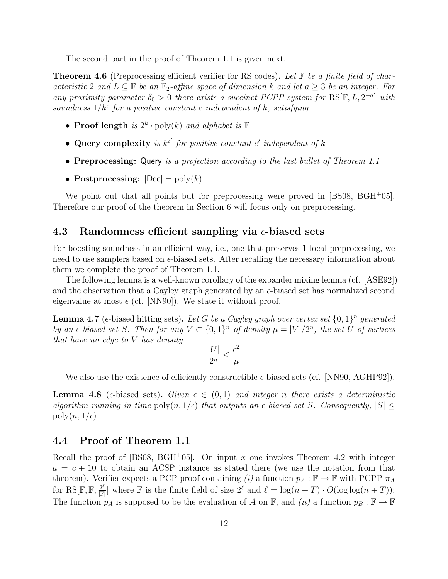The second part in the proof of Theorem 1.1 is given next.

**Theorem 4.6** (Preprocessing efficient verifier for RS codes). Let  $\mathbb{F}$  be a finite field of characteristic 2 and  $L \subseteq \mathbb{F}$  be an  $\mathbb{F}_2$ -affine space of dimension k and let  $a \geq 3$  be an integer. For any proximity parameter  $\delta_0 > 0$  there exists a succinct PCPP system for RS[F, L, 2<sup>-a</sup>] with soundness  $1/k^c$  for a positive constant c independent of k, satisfying

- Proof length is  $2^k \cdot \text{poly}(k)$  and alphabet is  $\mathbb F$
- Query complexity is  $k^{c'}$  for positive constant c' independent of k
- Preprocessing: Query is a projection according to the last bullet of Theorem 1.1
- Postprocessing:  $|\text{Dec}| = \text{poly}(k)$

We point out that all points but for preprocessing were proved in [BS08, BGH+05]. Therefore our proof of the theorem in Section 6 will focus only on preprocessing.

### 4.3 Randomness efficient sampling via  $\epsilon$ -biased sets

For boosting soundness in an efficient way, i.e., one that preserves 1-local preprocessing, we need to use samplers based on  $\epsilon$ -biased sets. After recalling the necessary information about them we complete the proof of Theorem 1.1.

The following lemma is a well-known corollary of the expander mixing lemma (cf. [ASE92]) and the observation that a Cayley graph generated by an  $\epsilon$ -biased set has normalized second eigenvalue at most  $\epsilon$  (cf. [NN90]). We state it without proof.

**Lemma 4.7** ( $\epsilon$ -biased hitting sets). Let G be a Cayley graph over vertex set  $\{0,1\}^n$  generated by an  $\epsilon$ -biased set S. Then for any  $V \subset \{0,1\}^n$  of density  $\mu = |V|/2^n$ , the set U of vertices that have no edge to V has density

$$
\frac{|U|}{2^n} \leq \frac{\epsilon^2}{\mu}
$$

We also use the existence of efficiently constructible  $\epsilon$ -biased sets (cf. [NN90, AGHP92]).

**Lemma 4.8** ( $\epsilon$ -biased sets). Given  $\epsilon \in (0,1)$  and integer n there exists a deterministic algorithm running in time  $\text{poly}(n, 1/\epsilon)$  that outputs an  $\epsilon$ -biased set S. Consequently,  $|S|$  $poly(n, 1/\epsilon)$ .

### 4.4 Proof of Theorem 1.1

Recall the proof of [BS08, BGH<sup>+</sup>05]. On input x one invokes Theorem 4.2 with integer  $a = c + 10$  to obtain an ACSP instance as stated there (we use the notation from that theorem). Verifier expects a PCP proof containing (i) a function  $p_A : \mathbb{F} \to \mathbb{F}$  with PCPP  $\pi_A$ for  ${\rm RS}[\mathbb{F},\mathbb{F},\frac{2^\ell}{\mathbb{F}}]$  $\frac{2^{\ell}}{\|\mathbb{F}|}$  where  $\mathbb F$  is the finite field of size  $2^{\ell}$  and  $\ell = \log(n + T) \cdot O(\log \log(n + T));$ The function  $p_A$  is supposed to be the evaluation of A on F, and *(ii)* a function  $p_B : \mathbb{F} \to \mathbb{F}$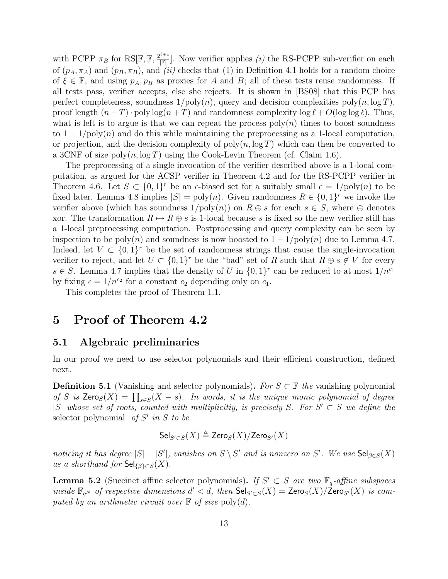with PCPP  $\pi_B$  for RS[F, F,  $\frac{2^{\ell+c}}{|F|}$  $\frac{i+\epsilon}{\|\mathbb{F}|}$ . Now verifier applies *(i)* the RS-PCPP sub-verifier on each of  $(p_A, \pi_A)$  and  $(p_B, \pi_B)$ , and  $(ii)$  checks that (1) in Definition 4.1 holds for a random choice of  $\xi \in \mathbb{F}$ , and using  $p_A, p_B$  as proxies for A and B; all of these tests reuse randomness. If all tests pass, verifier accepts, else she rejects. It is shown in [BS08] that this PCP has perfect completeness, soundness  $1/\text{poly}(n)$ , query and decision complexities poly $(n, \log T)$ , proof length  $(n+T)$  · poly  $\log(n+T)$  and randomness complexity  $\log \ell + O(\log \log \ell)$ . Thus, what is left is to argue is that we can repeat the process  $poly(n)$  times to boost soundness to  $1 - 1/\text{poly}(n)$  and do this while maintaining the preprocessing as a 1-local computation, or projection, and the decision complexity of  $poly(n, \log T)$  which can then be converted to a 3CNF of size  $poly(n, \log T)$  using the Cook-Levin Theorem (cf. Claim 1.6).

The preprocessing of a single invocation of the verifier described above is a 1-local computation, as argued for the ACSP verifier in Theorem 4.2 and for the RS-PCPP verifier in Theorem 4.6. Let  $S \subset \{0,1\}^r$  be an  $\epsilon$ -biased set for a suitably small  $\epsilon = 1/\text{poly}(n)$  to be fixed later. Lemma 4.8 implies  $|S| = poly(n)$ . Given randomness  $R \in \{0,1\}^r$  we invoke the verifier above (which has soundness  $1/\text{poly}(n)$ ) on  $R \oplus s$  for each  $s \in S$ , where  $\oplus$  denotes xor. The transformation  $R \mapsto R \oplus s$  is 1-local because s is fixed so the new verifier still has a 1-local preprocessing computation. Postprocessing and query complexity can be seen by inspection to be poly(n) and soundness is now boosted to  $1 - 1/\text{poly}(n)$  due to Lemma 4.7. Indeed, let  $V \subset \{0,1\}^r$  be the set of randomness strings that cause the single-invocation verifier to reject, and let  $U \subset \{0,1\}^r$  be the "bad" set of R such that  $R \oplus s \notin V$  for every  $s \in S$ . Lemma 4.7 implies that the density of U in  $\{0,1\}^r$  can be reduced to at most  $1/n^{c_1}$ by fixing  $\epsilon = 1/n^{c_2}$  for a constant  $c_2$  depending only on  $c_1$ .

This completes the proof of Theorem 1.1.

# 5 Proof of Theorem 4.2

### 5.1 Algebraic preliminaries

In our proof we need to use selector polynomials and their efficient construction, defined next.

**Definition 5.1** (Vanishing and selector polynomials). For  $S \subset \mathbb{F}$  the vanishing polynomial of S is  $\mathsf{Zero}_S(X) = \prod_{s \in S}(X - s)$ . In words, it is the unique monic polynomial of degree  $|S|$  whose set of roots, counted with multiplicitiy, is precisely S. For  $S' \subset S$  we define the selector polynomial of  $S'$  in  $S$  to be

$$
\mathsf{Sel}_{S' \subset S}(X) \triangleq \mathsf{Zero}_S(X) / \mathsf{Zero}_{S'}(X)
$$

noticing it has degree  $|S| - |S'|$ , vanishes on  $S \setminus S'$  and is nonzero on S'. We use  $\mathsf{Sel}_{\beta \in S}(X)$ as a shorthand for  $\mathsf{Sel}_{\{ \beta \} \subset S}(X)$ .

**Lemma 5.2** (Succinct affine selector polynomials). If  $S' \subset S$  are two  $\mathbb{F}_q$ -affine subspaces inside  $\mathbb{F}_{q^N}$  of respective dimensions  $d' < d$ , then  $\mathsf{Sel}_{S' \subset S}(X) = \mathsf{Zero}_S(X)/\mathsf{Zero}_{S'}(X)$  is computed by an arithmetic circuit over  $\mathbb F$  of size poly(d).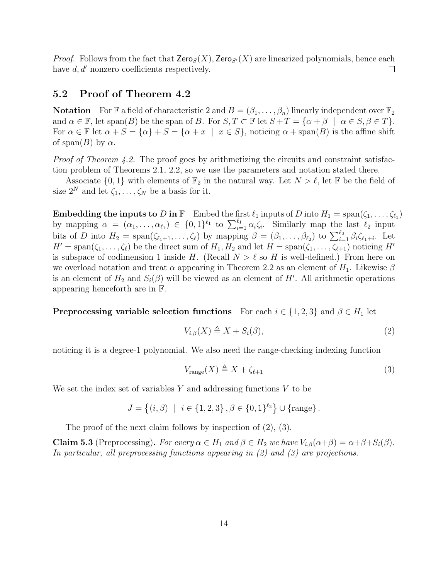*Proof.* Follows from the fact that  $\mathsf{Zero}_S(X)$ , Zero<sub>S'</sub>(X) are linearized polynomials, hence each have  $d, d'$  nonzero coefficients respectively.  $\Box$ 

### 5.2 Proof of Theorem 4.2

**Notation** For F a field of characteristic 2 and  $B = (\beta_1, \ldots, \beta_n)$  linearly independent over  $\mathbb{F}_2$ and  $\alpha \in \mathbb{F}$ , let span(B) be the span of B. For  $S, T \subset \mathbb{F}$  let  $S + T = {\alpha + \beta \mid \alpha \in S, \beta \in T}$ . For  $\alpha \in \mathbb{F}$  let  $\alpha + S = {\alpha} + S = {\alpha + x \mid x \in S}$ , noticing  $\alpha + \text{span}(B)$  is the affine shift of span $(B)$  by  $\alpha$ .

Proof of Theorem 4.2. The proof goes by arithmetizing the circuits and constraint satisfaction problem of Theorems 2.1, 2.2, so we use the parameters and notation stated there.

Associate  $\{0,1\}$  with elements of  $\mathbb{F}_2$  in the natural way. Let  $N > \ell$ , let F be the field of size  $2^N$  and let  $\zeta_1, \ldots, \zeta_N$  be a basis for it.

**Embedding the inputs to D in**  $\mathbb{F}$  Embed the first  $\ell_1$  inputs of D into  $H_1 = \text{span}(\zeta_1, \ldots, \zeta_{\ell_1})$ by mapping  $\alpha = (\alpha_1, \ldots, \alpha_{\ell_1}) \in \{0,1\}^{\ell_1}$  to  $\sum_{i=1}^{\ell_1} \alpha_i \zeta_i$ . Similarly map the last  $\ell_2$  input bits of D into  $H_2 = \text{span}(\zeta_{\ell_1+1}, \ldots, \zeta_{\ell})$  by mapping  $\beta = (\beta_1, \ldots, \beta_{\ell_2})$  to  $\sum_{i=1}^{\ell_2} \beta_i \zeta_{\ell_1+i}$ . Let  $H' = \text{span}(\zeta_1, \ldots, \zeta_\ell)$  be the direct sum of  $H_1, H_2$  and let  $H = \text{span}(\zeta_1, \ldots, \zeta_{\ell+1})$  noticing  $H'$ is subspace of codimension 1 inside H. (Recall  $N > \ell$  so H is well-defined.) From here on we overload notation and treat  $\alpha$  appearing in Theorem 2.2 as an element of  $H_1$ . Likewise  $\beta$ is an element of  $H_2$  and  $S_i(\beta)$  will be viewed as an element of H'. All arithmetic operations appearing henceforth are in F.

**Preprocessing variable selection functions** For each  $i \in \{1,2,3\}$  and  $\beta \in H_1$  let

$$
V_{i,\beta}(X) \triangleq X + S_i(\beta),\tag{2}
$$

noticing it is a degree-1 polynomial. We also need the range-checking indexing function

$$
V_{\text{range}}(X) \triangleq X + \zeta_{\ell+1} \tag{3}
$$

We set the index set of variables  $Y$  and addressing functions  $V$  to be

$$
J = \{(i, \beta) \mid i \in \{1, 2, 3\}, \beta \in \{0, 1\}^{\ell_2}\} \cup \{\text{range}\}.
$$

The proof of the next claim follows by inspection of (2), (3).

**Claim 5.3** (Preprocessing). For every  $\alpha \in H_1$  and  $\beta \in H_2$  we have  $V_{i,\beta}(\alpha+\beta) = \alpha+\beta+S_i(\beta)$ . In particular, all preprocessing functions appearing in (2) and (3) are projections.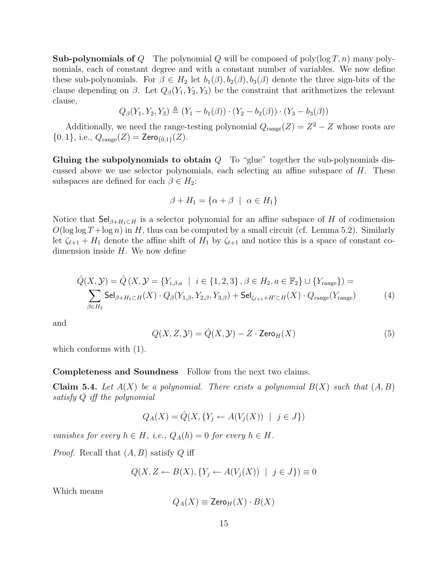**Sub-polynomials of** Q The polynomial Q will be composed of poly $(\log T, n)$  many polynomials, each of constant degree and with a constant number of variables. We now define these sub-polynomials. For  $\beta \in H_2$  let  $b_1(\beta), b_2(\beta), b_3(\beta)$  denote the three sign-bits of the clause depending on  $\beta$ . Let  $Q_{\beta}(Y_1, Y_2, Y_3)$  be the constraint that arithmetizes the relevant clause,

$$
Q_{\beta}(Y_1, Y_2, Y_3) \triangleq (Y_1 - b_1(\beta)) \cdot (Y_2 - b_2(\beta)) \cdot (Y_3 - b_3(\beta))
$$

Additionally, we need the range-testing polynomial  $Q_{\text{range}}(Z) = Z^2 - Z$  whose roots are  $\{0, 1\}$ , i.e.,  $Q_{\text{range}}(Z) = \text{Zero}_{\{0, 1\}}(Z)$ .

Gluing the subpolynomials to obtain  $Q$  To "glue" together the sub-polynomials discussed above we use selector polynomials, each selecting an affine subspace of  $H$ . These subspaces are defined for each  $\beta \in H_2$ :

$$
\beta + H_1 = \{ \alpha + \beta \mid \alpha \in H_1 \}
$$

Notice that  $\mathsf{Sel}_{\beta+H_1\subset H}$  is a selector polynomial for an affine subspace of H of codimension  $O(\log \log T + \log n)$  in H, thus can be computed by a small circuit (cf. Lemma 5.2). Similarly let  $\zeta_{\ell+1} + H_1$  denote the affine shift of  $H_1$  by  $\zeta_{\ell+1}$  and notice this is a space of constant codimension inside  $H$ . We now define

$$
\hat{Q}(X, Y) = \hat{Q}(X, Y) = \{Y_{i,\beta,a} \mid i \in \{1,2,3\}, \beta \in H_2, a \in \mathbb{F}_2\} \cup \{Y_{\text{range}}\}\n= \sum_{\beta \in H_2} \text{Sel}_{\beta + H_1 \subset H}(X) \cdot Q_{\beta}(Y_{1,\beta}, Y_{2,\beta}, Y_{3,\beta}) + \text{Sel}_{\zeta_{\ell+1} + H' \subset H}(X) \cdot Q_{\text{range}}(Y_{\text{range}})
$$
\n(4)

and

$$
Q(X, Z, Y) = \hat{Q}(X, Y) - Z \cdot \text{Zero}_{H}(X)
$$
\n(5)

which conforms with (1).

#### Completeness and Soundness Follow from the next two claims.

**Claim 5.4.** Let  $A(X)$  be a polynomial. There exists a polynomial  $B(X)$  such that  $(A, B)$ satisfy Q iff the polynomial

$$
Q_A(X) = \hat{Q}(X, \{Y_j \leftarrow A(V_j(X)) \mid j \in J\})
$$

vanishes for every  $h \in H$ , i.e.,  $Q_A(h) = 0$  for every  $h \in H$ .

*Proof.* Recall that  $(A, B)$  satisfy Q iff

$$
Q(X, Z \leftarrow B(X), \{Y_j \leftarrow A(V_j(X)) \mid j \in J\}) \equiv 0
$$

Which means

$$
Q_A(X) \equiv \mathsf{Zero}_H(X) \cdot B(X)
$$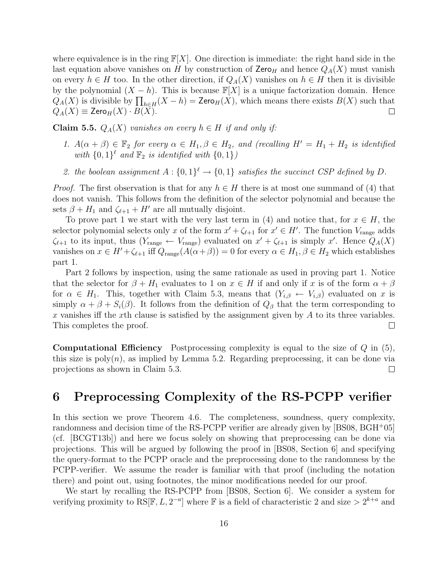where equivalence is in the ring  $\mathbb{F}[X]$ . One direction is immediate: the right hand side in the last equation above vanishes on H by construction of  $\mathsf{Zero}_H$  and hence  $Q_A(X)$  must vanish on every  $h \in H$  too. In the other direction, if  $Q_A(X)$  vanishes on  $h \in H$  then it is divisible by the polynomial  $(X - h)$ . This is because  $\mathbb{F}[X]$  is a unique factorization domain. Hence  $Q_A(X)$  is divisible by  $\prod_{h\in H}(X-h) = \textsf{Zero}_H(X)$ , which means there exists  $B(X)$  such that  $Q_A(X) \equiv \mathsf{Zero}_H(X) \cdot B(X).$  $\Box$ 

**Claim 5.5.**  $Q_A(X)$  vanishes on every  $h \in H$  if and only if:

- 1.  $A(\alpha + \beta) \in \mathbb{F}_2$  for every  $\alpha \in H_1, \beta \in H_2$ , and (recalling  $H' = H_1 + H_2$  is identified with  $\{0,1\}^{\ell}$  and  $\mathbb{F}_2$  is identified with  $\{0,1\}$ )
- 2. the boolean assignment  $A: \{0,1\}^{\ell} \to \{0,1\}$  satisfies the succinct CSP defined by D.

*Proof.* The first observation is that for any  $h \in H$  there is at most one summand of (4) that does not vanish. This follows from the definition of the selector polynomial and because the sets  $\beta + H_1$  and  $\zeta_{\ell+1} + H'$  are all mutually disjoint.

To prove part 1 we start with the very last term in (4) and notice that, for  $x \in H$ , the selector polynomial selects only x of the form  $x' + \zeta_{\ell+1}$  for  $x' \in H'$ . The function  $V_{\text{range}}$  adds  $\zeta_{\ell+1}$  to its input, thus  $(Y_{\text{range}} \leftarrow V_{\text{range}})$  evaluated on  $x' + \zeta_{\ell+1}$  is simply x'. Hence  $Q_A(X)$ vanishes on  $x \in H' + \zeta_{\ell+1}$  iff  $Q_{\text{range}}(A(\alpha+\beta)) = 0$  for every  $\alpha \in H_1, \beta \in H_2$  which establishes part 1.

Part 2 follows by inspection, using the same rationale as used in proving part 1. Notice that the selector for  $\beta + H_1$  evaluates to 1 on  $x \in H$  if and only if x is of the form  $\alpha + \beta$ for  $\alpha \in H_1$ . This, together with Claim 5.3, means that  $(Y_{i,\beta} \leftarrow V_{i,\beta})$  evaluated on x is simply  $\alpha + \beta + S_i(\beta)$ . It follows from the definition of  $Q_\beta$  that the term corresponding to  $x$  vanishes iff the  $x$ th clause is satisfied by the assignment given by  $A$  to its three variables. This completes the proof.  $\Box$ 

**Computational Efficiency** Postprocessing complexity is equal to the size of  $Q$  in  $(5)$ , this size is  $poly(n)$ , as implied by Lemma 5.2. Regarding preprocessing, it can be done via projections as shown in Claim 5.3.  $\Box$ 

# 6 Preprocessing Complexity of the RS-PCPP verifier

In this section we prove Theorem 4.6. The completeness, soundness, query complexity, randomness and decision time of the RS-PCPP verifier are already given by [BS08, BGH<sup>+</sup>05] (cf. [BCGT13b]) and here we focus solely on showing that preprocessing can be done via projections. This will be argued by following the proof in [BS08, Section 6] and specifying the query-format to the PCPP oracle and the preprocessing done to the randomness by the PCPP-verifier. We assume the reader is familiar with that proof (including the notation there) and point out, using footnotes, the minor modifications needed for our proof.

We start by recalling the RS-PCPP from [BS08, Section 6]. We consider a system for verifying proximity to  $RS[\mathbb{F}, L, 2^{-a}]$  where  $\mathbb F$  is a field of characteristic 2 and size  $> 2^{k+a}$  and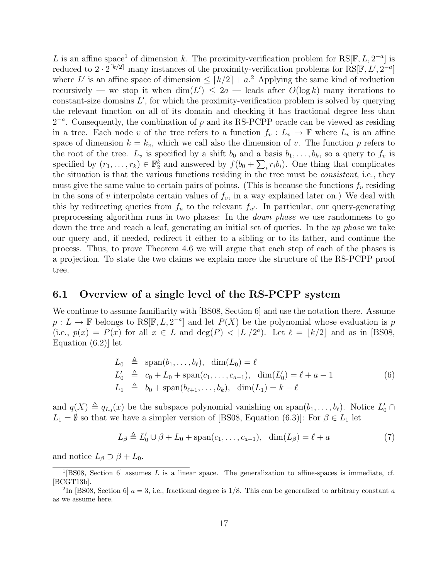L is an affine space<sup>1</sup> of dimension k. The proximity-verification problem for RS[F, L,  $2^{-a}$ ] is reduced to  $2 \cdot 2^{\lceil k/2 \rceil}$  many instances of the proximity-verification problems for RS[F, L', 2<sup>-a</sup>] where L' is an affine space of dimension  $\leq [k/2] + a^2$ . Applying the same kind of reduction recursively — we stop it when  $\dim(L') \leq 2a$  — leads after  $O(\log k)$  many iterations to constant-size domains  $L'$ , for which the proximity-verification problem is solved by querying the relevant function on all of its domain and checking it has fractional degree less than  $2^{-a}$ . Consequently, the combination of p and its RS-PCPP oracle can be viewed as residing in a tree. Each node v of the tree refers to a function  $f_v : L_v \to \mathbb{F}$  where  $L_v$  is an affine space of dimension  $k = k_v$ , which we call also the dimension of v. The function p refers to the root of the tree.  $L_v$  is specified by a shift  $b_0$  and a basis  $b_1, \ldots, b_k$ , so a query to  $f_v$  is specified by  $(r_1,\ldots,r_k) \in \mathbb{F}_2^k$  and answered by  $f(b_0 + \sum_i r_i b_i)$ . One thing that complicates the situation is that the various functions residing in the tree must be consistent, i.e., they must give the same value to certain pairs of points. (This is because the functions  $f_u$  residing in the sons of v interpolate certain values of  $f_v$ , in a way explained later on.) We deal with this by redirecting queries from  $f_u$  to the relevant  $f_{u'}$ . In particular, our query-generating preprocessing algorithm runs in two phases: In the down phase we use randomness to go down the tree and reach a leaf, generating an initial set of queries. In the up phase we take our query and, if needed, redirect it either to a sibling or to its father, and continue the process. Thus, to prove Theorem 4.6 we will argue that each step of each of the phases is a projection. To state the two claims we explain more the structure of the RS-PCPP proof tree.

### 6.1 Overview of a single level of the RS-PCPP system

We continue to assume familiarity with [BS08, Section 6] and use the notation there. Assume  $p: L \to \mathbb{F}$  belongs to RS[F, L, 2<sup>-a</sup>] and let  $P(X)$  be the polynomial whose evaluation is p (i.e.,  $p(x) = P(x)$  for all  $x \in L$  and  $\deg(P) < |L|/2^a$ ). Let  $\ell = |k/2|$  and as in [BS08, Equation (6.2)] let

$$
L_0 \triangleq \text{span}(b_1, ..., b_\ell), \quad \dim(L_0) = \ell
$$
  
\n
$$
L'_0 \triangleq c_0 + L_0 + \text{span}(c_1, ..., c_{a-1}), \quad \dim(L'_0) = \ell + a - 1
$$
  
\n
$$
L_1 \triangleq b_0 + \text{span}(b_{\ell+1}, ..., b_k), \quad \dim(L_1) = k - \ell
$$
\n(6)

and  $q(X) \triangleq q_{L_0}(x)$  be the subspace polynomial vanishing on span $(b_1, \ldots, b_\ell)$ . Notice  $L'_0 \cap$  $L_1 = \emptyset$  so that we have a simpler version of [BS08, Equation (6.3)]: For  $\beta \in L_1$  let

$$
L_{\beta} \triangleq L'_{0} \cup \beta + L_{0} + \text{span}(c_{1}, \dots, c_{a-1}), \quad \dim(L_{\beta}) = \ell + a \tag{7}
$$

and notice  $L_{\beta} \supset \beta + L_0$ .

<sup>&</sup>lt;sup>1</sup>[BS08, Section 6] assumes L is a linear space. The generalization to affine-spaces is immediate, cf. [BCGT13b].

<sup>&</sup>lt;sup>2</sup>In [BS08, Section 6]  $a = 3$ , i.e., fractional degree is 1/8. This can be generalized to arbitrary constant a as we assume here.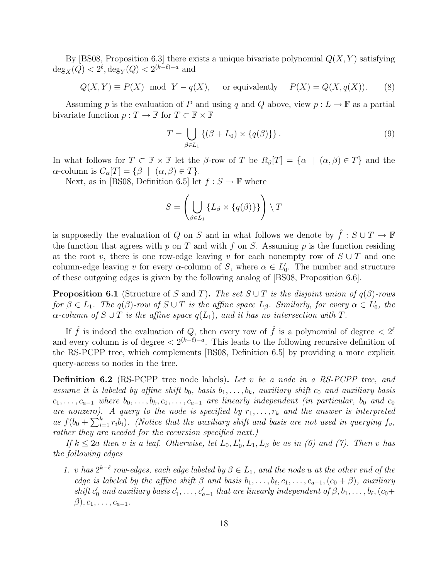By [BS08, Proposition 6.3] there exists a unique bivariate polynomial  $Q(X, Y)$  satisfying  $deg_X(Q) < 2^{\ell}, deg_Y(Q) < 2^{(k-\ell)-a}$  and

$$
Q(X,Y) \equiv P(X) \mod Y - q(X)
$$
, or equivalently  $P(X) = Q(X,q(X))$ . (8)

Assuming p is the evaluation of P and using q and Q above, view  $p: L \to \mathbb{F}$  as a partial bivariate function  $p: T \to \mathbb{F}$  for  $T \subset \mathbb{F} \times \mathbb{F}$ 

$$
T = \bigcup_{\beta \in L_1} \left\{ (\beta + L_0) \times \{ q(\beta) \} \right\}. \tag{9}
$$

In what follows for  $T \subset \mathbb{F} \times \mathbb{F}$  let the  $\beta$ -row of T be  $R_{\beta}[T] = {\alpha \mid (\alpha, \beta) \in T}$  and the  $\alpha$ -column is  $C_{\alpha}[T] = {\beta \mid (\alpha, \beta) \in T}.$ 

Next, as in [BS08, Definition 6.5] let  $f : S \to \mathbb{F}$  where

$$
S = \left(\bigcup_{\beta \in L_1} \{L_{\beta} \times \{q(\beta)\}\}\right) \setminus T
$$

is supposedly the evaluation of  $Q$  on  $S$  and in what follows we denote by  $\hat{f}:S\cup T\rightarrow \mathbb{F}$ the function that agrees with p on T and with f on S. Assuming p is the function residing at the root v, there is one row-edge leaving v for each nonempty row of  $S \cup T$  and one column-edge leaving v for every  $\alpha$ -column of S, where  $\alpha \in L'_0$ . The number and structure of these outgoing edges is given by the following analog of [BS08, Proposition 6.6].

**Proposition 6.1** (Structure of S and T). The set  $S \cup T$  is the disjoint union of  $q(\beta)$ -rows for  $\beta \in L_1$ . The  $q(\beta)$ -row of  $S \cup T$  is the affine space  $L_\beta$ . Similarly, for every  $\alpha \in L'_0$ , the  $\alpha$ -column of  $S \cup T$  is the affine space  $q(L_1)$ , and it has no intersection with T.

If  $\hat{f}$  is indeed the evaluation of Q, then every row of  $\hat{f}$  is a polynomial of degree  $\langle 2^{\ell} \rangle$ and every column is of degree  $\langle 2^{(k-\ell)-a} \rangle$ . This leads to the following recursive definition of the RS-PCPP tree, which complements [BS08, Definition 6.5] by providing a more explicit query-access to nodes in the tree.

**Definition 6.2** (RS-PCPP tree node labels). Let v be a node in a RS-PCPP tree, and assume it is labeled by affine shift b<sub>0</sub>, basis  $b_1, \ldots, b_k$ , auxiliary shift c<sub>0</sub> and auxiliary basis  $c_1, \ldots, c_{a-1}$  where  $b_0, \ldots, b_k, c_0, \ldots, c_{a-1}$  are linearly independent (in particular,  $b_0$  and  $c_0$ are nonzero). A query to the node is specified by  $r_1, \ldots, r_k$  and the answer is interpreted as  $f(b_0 + \sum_{i=1}^k r_i b_i)$ . (Notice that the auxiliary shift and basis are not used in querying  $f_v$ , rather they are needed for the recursion specified next.)

If  $k \leq 2a$  then v is a leaf. Otherwise, let  $L_0, L'_0, L_1, L_\beta$  be as in (6) and (7). Then v has the following edges

1. v has  $2^{k-\ell}$  row-edges, each edge labeled by  $\beta \in L_1$ , and the node u at the other end of the edge is labeled by the affine shift  $\beta$  and basis  $b_1, \ldots, b_\ell, c_1, \ldots, c_{a-1}, (c_0 + \beta)$ , auxiliary shift  $c'_0$  and auxiliary basis  $c'_1, \ldots, c'_{a-1}$  that are linearly independent of  $\beta, b_1, \ldots, b_\ell, (c_0+\ell)$  $\beta$ ,  $c_1, \ldots, c_{a-1}$ .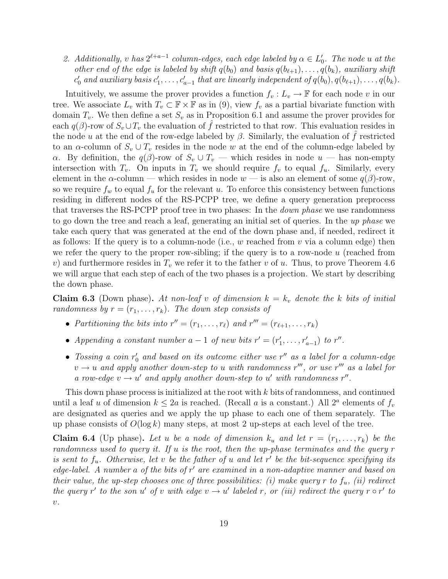2. Additionally, v has  $2^{\ell+a-1}$  column-edges, each edge labeled by  $\alpha \in L'_0$ . The node u at the other end of the edge is labeled by shift  $q(b_0)$  and basis  $q(b_{\ell+1}), \ldots, q(b_k)$ , auxiliary shift  $c'_0$  and auxiliary basis  $c'_1, \ldots, c'_{a-1}$  that are linearly independent of  $q(b_0), q(b_{\ell+1}), \ldots, q(b_k)$ .

Intuitively, we assume the prover provides a function  $f_v : L_v \to \mathbb{F}$  for each node v in our tree. We associate  $L_v$  with  $T_v \subset \mathbb{F} \times \mathbb{F}$  as in (9), view  $f_v$  as a partial bivariate function with domain  $T_v$ . We then define a set  $S_v$  as in Proposition 6.1 and assume the prover provides for each  $q(\beta)$ -row of  $S_v \cup T_v$  the evaluation of f restricted to that row. This evaluation resides in the node u at the end of the row-edge labeled by  $\beta$ . Similarly, the evaluation of f restricted to an  $\alpha$ -column of  $S_v \cup T_v$  resides in the node w at the end of the column-edge labeled by α. By definition, the  $q(β)$ -row of  $S_v \cup T_v$  — which resides in node  $u$  — has non-empty intersection with  $T_v$ . On inputs in  $T_v$  we should require  $f_v$  to equal  $f_u$ . Similarly, every element in the  $\alpha$ -column — which resides in node  $w$  — is also an element of some  $q(\beta)$ -row, so we require  $f_w$  to equal  $f_u$  for the relevant u. To enforce this consistency between functions residing in different nodes of the RS-PCPP tree, we define a query generation preprocess that traverses the RS-PCPP proof tree in two phases: In the *down phase* we use randomness to go down the tree and reach a leaf, generating an initial set of queries. In the up phase we take each query that was generated at the end of the down phase and, if needed, redirect it as follows: If the query is to a column-node (i.e.,  $w$  reached from  $v$  via a column edge) then we refer the query to the proper row-sibling; if the query is to a row-node  $u$  (reached from v) and furthermore resides in  $T_v$  we refer it to the father v of u. Thus, to prove Theorem 4.6 we will argue that each step of each of the two phases is a projection. We start by describing the down phase.

**Claim 6.3** (Down phase). At non-leaf v of dimension  $k = k_v$  denote the k bits of initial randomness by  $r = (r_1, \ldots, r_k)$ . The down step consists of

- Partitioning the bits into  $r'' = (r_1, \ldots, r_\ell)$  and  $r''' = (r_{\ell+1}, \ldots, r_k)$
- Appending a constant number  $a-1$  of new bits  $r' = (r'_1, \ldots, r'_{a-1})$  to  $r''$ .
- Tossing a coin  $r'_0$  and based on its outcome either use  $r''$  as a label for a column-edge  $v \rightarrow u$  and apply another down-step to u with randomness r''', or use r''' as a label for a row-edge  $v \rightarrow u'$  and apply another down-step to u' with randomness r''.

This down phase process is initialized at the root with k bits of randomness, and continued until a leaf u of dimension  $k \leq 2a$  is reached. (Recall u is a constant.) All  $2^a$  elements of  $f_v$ are designated as queries and we apply the up phase to each one of them separately. The up phase consists of  $O(\log k)$  many steps, at most 2 up-steps at each level of the tree.

**Claim 6.4** (Up phase). Let u be a node of dimension  $k_u$  and let  $r = (r_1, \ldots, r_k)$  be the randomness used to query it. If u is the root, then the up-phase terminates and the query r is sent to  $f_u$ . Otherwise, let v be the father of u and let r' be the bit-sequence specifying its edge-label. A number a of the bits of  $r'$  are examined in a non-adaptive manner and based on their value, the up-step chooses one of three possibilities: (i) make query r to  $f_u$ , (ii) redirect the query r' to the son u' of v with edge  $v \rightarrow u'$  labeled r, or (iii) redirect the query r  $\circ r'$  to  $\upsilon.$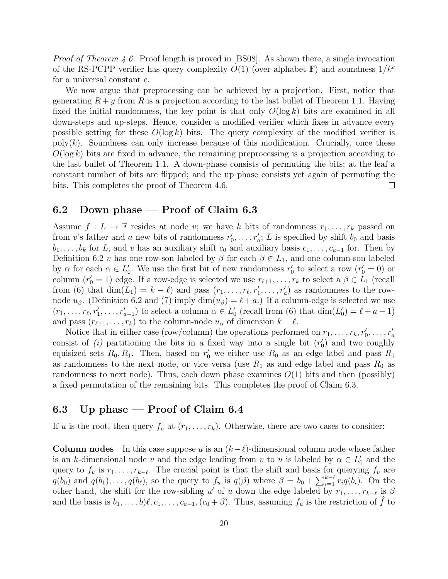Proof of Theorem 4.6. Proof length is proved in [BS08]. As shown there, a single invocation of the RS-PCPP verifier has query complexity  $O(1)$  (over alphabet F) and soundness  $1/k<sup>c</sup>$ for a universal constant c.

We now argue that preprocessing can be achieved by a projection. First, notice that generating  $R + y$  from R is a projection according to the last bullet of Theorem 1.1. Having fixed the initial randomness, the key point is that only  $O(\log k)$  bits are examined in all down-steps and up-steps. Hence, consider a modified verifier which fixes in advance every possible setting for these  $O(\log k)$  bits. The query complexity of the modified verifier is  $poly(k)$ . Soundness can only increase because of this modification. Crucially, once these  $O(\log k)$  bits are fixed in advance, the remaining preprocessing is a projection according to the last bullet of Theorem 1.1. A down-phase consists of permuting the bits; at the leaf a constant number of bits are flipped; and the up phase consists yet again of permuting the bits. This completes the proof of Theorem 4.6.  $\Box$ 

### 6.2 Down phase — Proof of Claim 6.3

Assume  $f: L \to \mathbb{F}$  resides at node v; we have k bits of randomness  $r_1, \ldots, r_k$  passed on from v's father and a new bits of randomness  $r'_0, \ldots, r'_a$ ; L is specified by shift  $b_0$  and basis  $b_1, \ldots, b_k$  for L, and v has an auxiliary shift  $c_0$  and auxiliary basis  $c_1, \ldots, c_{a-1}$  for. Then by Definition 6.2 v has one row-son labeled by  $\beta$  for each  $\beta \in L_1$ , and one column-son labeled by  $\alpha$  for each  $\alpha \in L'_0$ . We use the first bit of new randomness  $r'_0$  to select a row  $(r'_0 = 0)$  or column  $(r'_0 = 1)$  edge. If a row-edge is selected we use  $r_{\ell+1}, \ldots, r_k$  to select a  $\beta \in L_1$  (recall from (6) that  $\dim(L_1) = k - \ell$ ) and pass  $(r_1, \ldots, r_\ell, r'_1, \ldots, r'_a)$  as randomness to the rownode  $u_{\beta}$ . (Definition 6.2 and (7) imply dim( $u_{\beta}$ ) =  $\ell + a$ .) If a column-edge is selected we use  $(r_1, \ldots, r_\ell, r'_1, \ldots, r'_{a-1})$  to select a column  $\alpha \in L'_0$  (recall from (6) that  $\dim(L'_0) = \ell + a - 1$ ) and pass  $(r_{\ell+1}, \ldots, r_k)$  to the column-node  $u_\alpha$  of dimension  $k - \ell$ .

Notice that in either case (row/column) the operations performed on  $r_1, \ldots, r_k, r'_0, \ldots, r'_a$ consist of (i) partitioning the bits in a fixed way into a single bit  $(r'_0)$  and two roughly equisized sets  $R_0, R_1$ . Then, based on  $r'_0$  we either use  $R_0$  as an edge label and pass  $R_1$ as randomness to the next node, or vice versa (use  $R_1$  as and edge label and pass  $R_0$  as randomness to next node). Thus, each down phase examines  $O(1)$  bits and then (possibly) a fixed permutation of the remaining bits. This completes the proof of Claim 6.3.

### 6.3 Up phase — Proof of Claim 6.4

If u is the root, then query  $f_u$  at  $(r_1, \ldots, r_k)$ . Otherwise, there are two cases to consider:

**Column nodes** In this case suppose u is an  $(k-\ell)$ -dimensional column node whose father is an k-dimensional node v and the edge leading from v to u is labeled by  $\alpha \in L'_0$  and the query to  $f_u$  is  $r_1, \ldots, r_{k-\ell}$ . The crucial point is that the shift and basis for querying  $f_u$  are  $q(b_0)$  and  $q(b_1), \ldots, q(b_\ell)$ , so the query to  $f_u$  is  $q(\beta)$  where  $\beta = b_0 + \sum_{i=1}^{k-\ell} r_i q(b_i)$ . On the other hand, the shift for the row-sibling u' of u down the edge labeled by  $r_1, \ldots, r_{k-\ell}$  is  $\beta$ and the basis is  $b_1, \ldots, b\ell, c_1, \ldots, c_{a-1}, (c_0 + \beta)$ . Thus, assuming  $f_u$  is the restriction of f to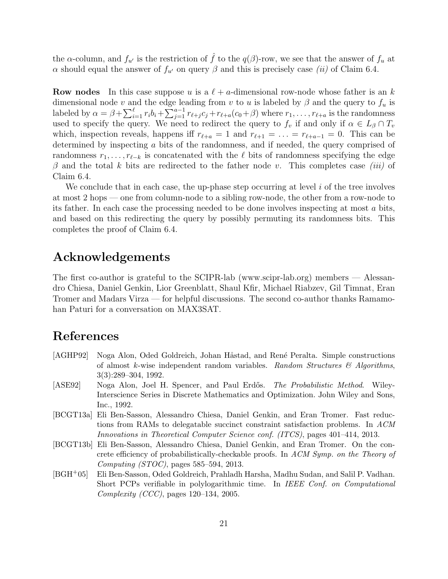the  $\alpha$ -column, and  $f_{u'}$  is the restriction of  $\hat{f}$  to the  $q(\beta)$ -row, we see that the answer of  $f_u$  at α should equal the answer of  $f_{u'}$  on query β and this is precisely case (ii) of Claim 6.4.

**Row nodes** In this case suppose u is a  $\ell + a$ -dimensional row-node whose father is an k dimensional node v and the edge leading from v to u is labeled by  $\beta$  and the query to  $f_u$  is labeled by  $\alpha = \beta + \sum_{i=1}^{\ell} r_i b_i + \sum_{j=1}^{a-1} r_{\ell+j} c_j + r_{\ell+a}(c_0+\beta)$  where  $r_1, \ldots, r_{\ell+a}$  is the randomness used to specify the query. We need to redirect the query to  $f_v$  if and only if  $\alpha \in L_\beta \cap T_v$ which, inspection reveals, happens iff  $r_{\ell+a} = 1$  and  $r_{\ell+1} = \ldots = r_{\ell+a-1} = 0$ . This can be determined by inspecting a bits of the randomness, and if needed, the query comprised of randomness  $r_1, \ldots, r_{\ell-k}$  is concatenated with the  $\ell$  bits of randomness specifying the edge  $\beta$  and the total k bits are redirected to the father node v. This completes case *(iii)* of Claim 6.4.

We conclude that in each case, the up-phase step occurring at level  $i$  of the tree involves at most 2 hops — one from column-node to a sibling row-node, the other from a row-node to its father. In each case the processing needed to be done involves inspecting at most a bits, and based on this redirecting the query by possibly permuting its randomness bits. This completes the proof of Claim 6.4.

### Acknowledgements

The first co-author is grateful to the SCIPR-lab (www.scipr-lab.org) members — Alessandro Chiesa, Daniel Genkin, Lior Greenblatt, Shaul Kfir, Michael Riabzev, Gil Timnat, Eran Tromer and Madars Virza — for helpful discussions. The second co-author thanks Ramamohan Paturi for a conversation on MAX3SAT.

# References

- [AGHP92] Noga Alon, Oded Goldreich, Johan Håstad, and René Peralta. Simple constructions of almost k-wise independent random variables. Random Structures  $\mathcal{B}$  Algorithms, 3(3):289–304, 1992.
- [ASE92] Noga Alon, Joel H. Spencer, and Paul Erdős. The Probabilistic Method. Wiley-Interscience Series in Discrete Mathematics and Optimization. John Wiley and Sons, Inc., 1992.
- [BCGT13a] Eli Ben-Sasson, Alessandro Chiesa, Daniel Genkin, and Eran Tromer. Fast reductions from RAMs to delegatable succinct constraint satisfaction problems. In ACM Innovations in Theoretical Computer Science conf. (ITCS), pages 401–414, 2013.
- [BCGT13b] Eli Ben-Sasson, Alessandro Chiesa, Daniel Genkin, and Eran Tromer. On the concrete efficiency of probabilistically-checkable proofs. In ACM Symp. on the Theory of Computing (STOC), pages 585–594, 2013.
- [BGH+05] Eli Ben-Sasson, Oded Goldreich, Prahladh Harsha, Madhu Sudan, and Salil P. Vadhan. Short PCPs verifiable in polylogarithmic time. In IEEE Conf. on Computational Complexity (CCC), pages 120–134, 2005.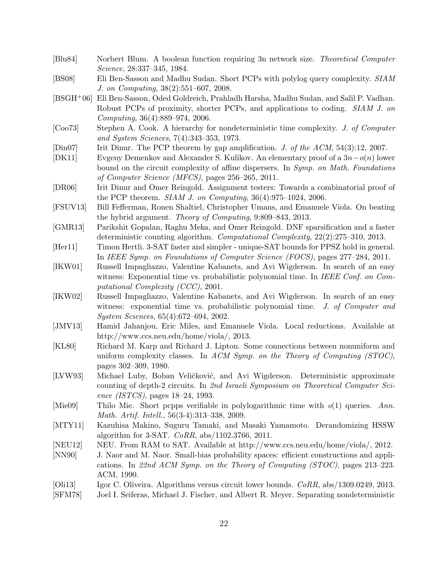- [Blu84] Norbert Blum. A boolean function requiring 3n network size. Theoretical Computer Science, 28:337–345, 1984.
- [BS08] Eli Ben-Sasson and Madhu Sudan. Short PCPs with polylog query complexity. SIAM J. on Computing, 38(2):551–607, 2008.
- [BSGH+06] Eli Ben-Sasson, Oded Goldreich, Prahladh Harsha, Madhu Sudan, and Salil P. Vadhan. Robust PCPs of proximity, shorter PCPs, and applications to coding. SIAM J. on Computing, 36(4):889–974, 2006.
- [Coo73] Stephen A. Cook. A hierarchy for nondeterministic time complexity. J. of Computer and System Sciences, 7(4):343–353, 1973.
- [Din07] Irit Dinur. The PCP theorem by gap amplification. J. of the ACM, 54(3):12, 2007.
- [DK11] Evgeny Demenkov and Alexander S. Kulikov. An elementary proof of a 3n−o(n) lower bound on the circuit complexity of affine dispersers. In Symp. on Math. Foundations of Computer Science (MFCS), pages 256–265, 2011.
- [DR06] Irit Dinur and Omer Reingold. Assignment testers: Towards a combinatorial proof of the PCP theorem.  $SIAM J.$  on Computing,  $36(4):975-1024$ ,  $2006$ .
- [FSUV13] Bill Fefferman, Ronen Shaltiel, Christopher Umans, and Emanuele Viola. On beating the hybrid argument. Theory of Computing, 9:809–843, 2013.
- [GMR13] Parikshit Gopalan, Raghu Meka, and Omer Reingold. DNF sparsification and a faster deterministic counting algorithm. Computational Complexity, 22(2):275–310, 2013.
- [Her11] Timon Hertli. 3-SAT faster and simpler unique-SAT bounds for PPSZ hold in general. In IEEE Symp. on Foundations of Computer Science (FOCS), pages 277–284, 2011.
- [IKW01] Russell Impagliazzo, Valentine Kabanets, and Avi Wigderson. In search of an easy witness: Exponential time vs. probabilistic polynomial time. In IEEE Conf. on Computational Complexity (CCC), 2001.
- [IKW02] Russell Impagliazzo, Valentine Kabanets, and Avi Wigderson. In search of an easy witness: exponential time vs. probabilistic polynomial time. J. of Computer and System Sciences, 65(4):672–694, 2002.
- [JMV13] Hamid Jahanjou, Eric Miles, and Emanuele Viola. Local reductions. Available at http://www.ccs.neu.edu/home/viola/, 2013.
- [KL80] Richard M. Karp and Richard J. Lipton. Some connections between nonuniform and uniform complexity classes. In ACM Symp. on the Theory of Computing  $(TOC)$ , pages 302–309, 1980.
- [LVW93] Michael Luby, Boban Veličković, and Avi Wigderson. Deterministic approximate counting of depth-2 circuits. In 2nd Israeli Symposium on Theoretical Computer Science (ISTCS), pages 18–24, 1993.
- [Mie09] Thilo Mie. Short pcpps verifiable in polylogarithmic time with  $o(1)$  queries. Ann. Math. Artif. Intell., 56(3-4):313–338, 2009.
- [MTY11] Kazuhisa Makino, Suguru Tamaki, and Masaki Yamamoto. Derandomizing HSSW algorithm for 3-SAT.  $CoRR$ ,  $abs/1102.3766$ , 2011.
- [NEU12] NEU. From RAM to SAT. Available at http://www.ccs.neu.edu/home/viola/, 2012.
- [NN90] J. Naor and M. Naor. Small-bias probability spaces: efficient constructions and applications. In 22nd ACM Symp. on the Theory of Computing (STOC), pages 213–223. ACM, 1990.
- [Oli13] Igor C. Oliveira. Algorithms versus circuit lower bounds. CoRR, abs/1309.0249, 2013.
- [SFM78] Joel I. Seiferas, Michael J. Fischer, and Albert R. Meyer. Separating nondeterministic